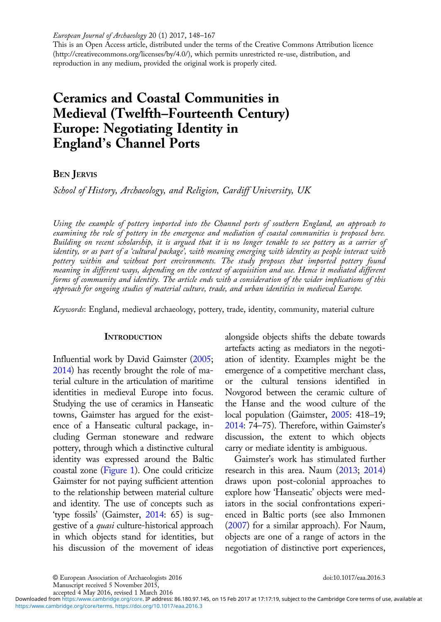European Journal of Archaeology 20 (1) 2017, 148–167

This is an Open Access article, distributed under the terms of the Creative Commons Attribution licence (http://creativecommons.org/licenses/by/4.0/), which permits unrestricted re-use, distribution, and reproduction in any medium, provided the original work is properly cited.

# Ceramics and Coastal Communities in Medieval (Twelfth–Fourteenth Century) Europe: Negotiating Identity in England's Channel Ports

## **BEN JERVIS**

School of History, Archaeology, and Religion, Cardiff University, UK

Using the example of pottery imported into the Channel ports of southern England, an approach to examining the role of pottery in the emergence and mediation of coastal communities is proposed here. Building on recent scholarship, it is argued that it is no longer tenable to see pottery as a carrier of identity, or as part of a 'cultural package', with meaning emerging with identity as people interact with pottery within and without port environments. The study proposes that imported pottery found meaning in different ways, depending on the context of acquisition and use. Hence it mediated different forms of community and identity. The article ends with a consideration of the wider implications of this approach for ongoing studies of material culture, trade, and urban identities in medieval Europe.

Keywords: England, medieval archaeology, pottery, trade, identity, community, material culture

#### **INTRODUCTION**

Influential work by David Gaimster [\(2005](#page-16-0); [2014](#page-16-0)) has recently brought the role of material culture in the articulation of maritime identities in medieval Europe into focus. Studying the use of ceramics in Hanseatic towns, Gaimster has argued for the existence of a Hanseatic cultural package, including German stoneware and redware pottery, through which a distinctive cultural identity was expressed around the Baltic coastal zone [\(Figure 1](#page-1-0)). One could criticize Gaimster for not paying sufficient attention to the relationship between material culture and identity. The use of concepts such as 'type fossils' (Gaimster, [2014](#page-16-0): 65) is suggestive of a quasi culture-historical approach in which objects stand for identities, but his discussion of the movement of ideas

alongside objects shifts the debate towards artefacts acting as mediators in the negotiation of identity. Examples might be the emergence of a competitive merchant class, or the cultural tensions identified in Novgorod between the ceramic culture of the Hanse and the wood culture of the local population (Gaimster, [2005](#page-16-0): 418–19; [2014:](#page-16-0) 74–75). Therefore, within Gaimster's discussion, the extent to which objects carry or mediate identity is ambiguous.

Gaimster's work has stimulated further research in this area. Naum [\(2013](#page-18-0); [2014](#page-18-0)) draws upon post-colonial approaches to explore how 'Hanseatic' objects were mediators in the social confrontations experienced in Baltic ports (see also Immonen ([2007](#page-17-0)) for a similar approach). For Naum, objects are one of a range of actors in the negotiation of distinctive port experiences,

© European Association of Archaeologists 2016 doi:10.1017/eaa.2016.3 Manuscript received 5 November 2015,

accepted 4 May 2016, revised 1 March 2016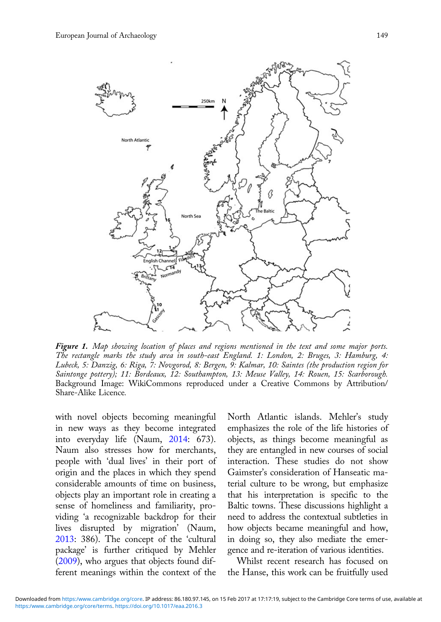<span id="page-1-0"></span>

Figure 1. Map showing location of places and regions mentioned in the text and some major ports. The rectangle marks the study area in south-east England. 1: London, 2: Bruges, 3: Hamburg, 4: Lubeck, 5: Danzig, 6: Riga, 7: Novgorod, 8: Bergen, 9: Kalmar, 10: Saintes (the production region for Saintonge pottery); 11: Bordeaux, 12: Southampton, 13: Meuse Valley, 14: Rouen, 15: Scarborough. Background Image: WikiCommons reproduced under a Creative Commons by Attribution/ Share-Alike Licence.

with novel objects becoming meaningful in new ways as they become integrated into everyday life (Naum, [2014](#page-18-0): 673). Naum also stresses how for merchants, people with 'dual lives' in their port of origin and the places in which they spend considerable amounts of time on business, objects play an important role in creating a sense of homeliness and familiarity, providing 'a recognizable backdrop for their lives disrupted by migration' (Naum, [2013](#page-18-0): 386). The concept of the 'cultural package' is further critiqued by Mehler ([2009\)](#page-17-0), who argues that objects found different meanings within the context of the North Atlantic islands. Mehler's study emphasizes the role of the life histories of objects, as things become meaningful as they are entangled in new courses of social interaction. These studies do not show Gaimster's consideration of Hanseatic material culture to be wrong, but emphasize that his interpretation is specific to the Baltic towns. These discussions highlight a need to address the contextual subtleties in how objects became meaningful and how, in doing so, they also mediate the emergence and re-iteration of various identities.

Whilst recent research has focused on the Hanse, this work can be fruitfully used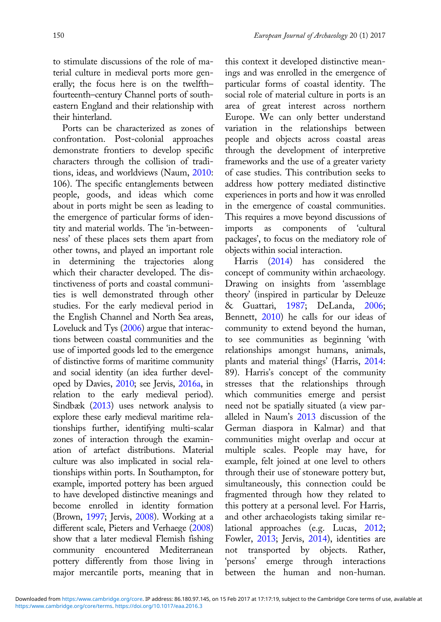to stimulate discussions of the role of material culture in medieval ports more generally; the focus here is on the twelfth– fourteenth–century Channel ports of southeastern England and their relationship with their hinterland.

Ports can be characterized as zones of confrontation. Post-colonial approaches demonstrate frontiers to develop specific characters through the collision of traditions, ideas, and worldviews (Naum, [2010](#page-18-0): 106). The specific entanglements between people, goods, and ideas which come about in ports might be seen as leading to the emergence of particular forms of identity and material worlds. The 'in-betweenness' of these places sets them apart from other towns, and played an important role in determining the trajectories along which their character developed. The distinctiveness of ports and coastal communities is well demonstrated through other studies. For the early medieval period in the English Channel and North Sea areas, Loveluck and Tys ([2006](#page-17-0)) argue that interactions between coastal communities and the use of imported goods led to the emergence of distinctive forms of maritime community and social identity (an idea further developed by Davies, [2010;](#page-16-0) see Jervis, [2016a,](#page-17-0) in relation to the early medieval period). Sindbæk [\(2013\)](#page-18-0) uses network analysis to explore these early medieval maritime relationships further, identifying multi-scalar zones of interaction through the examination of artefact distributions. Material culture was also implicated in social relationships within ports. In Southampton, for example, imported pottery has been argued to have developed distinctive meanings and become enrolled in identity formation (Brown, [1997;](#page-16-0) Jervis, [2008\)](#page-17-0). Working at a different scale, Pieters and Verhaege [\(2008\)](#page-18-0) show that a later medieval Flemish fishing community encountered Mediterranean pottery differently from those living in major mercantile ports, meaning that in

this context it developed distinctive meanings and was enrolled in the emergence of particular forms of coastal identity. The social role of material culture in ports is an area of great interest across northern Europe. We can only better understand variation in the relationships between people and objects across coastal areas through the development of interpretive frameworks and the use of a greater variety of case studies. This contribution seeks to address how pottery mediated distinctive experiences in ports and how it was enrolled in the emergence of coastal communities. This requires a move beyond discussions of imports as components of 'cultural packages', to focus on the mediatory role of objects within social interaction.

Harris ([2014\)](#page-17-0) has considered the concept of community within archaeology. Drawing on insights from 'assemblage theory' (inspired in particular by Deleuze & Guattari, [1987;](#page-16-0) DeLanda, [2006](#page-16-0); Bennett, [2010](#page-16-0)) he calls for our ideas of community to extend beyond the human, to see communities as beginning 'with relationships amongst humans, animals, plants and material things' (Harris, [2014](#page-17-0): 89). Harris's concept of the community stresses that the relationships through which communities emerge and persist need not be spatially situated (a view paralleled in Naum's [2013](#page-18-0) discussion of the German diaspora in Kalmar) and that communities might overlap and occur at multiple scales. People may have, for example, felt joined at one level to others through their use of stoneware pottery but, simultaneously, this connection could be fragmented through how they related to this pottery at a personal level. For Harris, and other archaeologists taking similar relational approaches (e.g. Lucas, [2012](#page-17-0); Fowler, [2013](#page-16-0); Jervis, [2014\)](#page-17-0), identities are not transported by objects. Rather, 'persons' emerge through interactions between the human and non-human.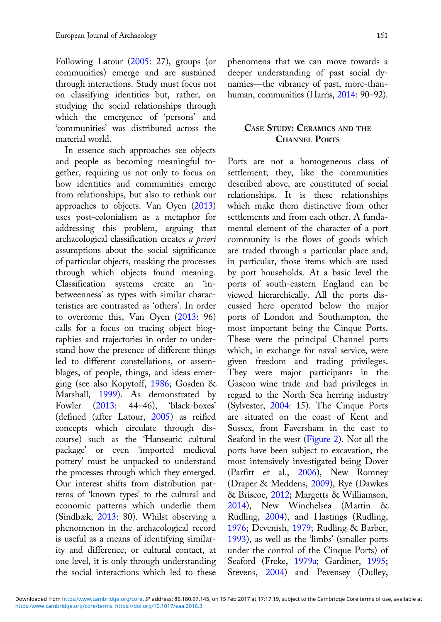Following Latour ([2005:](#page-17-0) 27), groups (or communities) emerge and are sustained through interactions. Study must focus not on classifying identities but, rather, on studying the social relationships through which the emergence of 'persons' and 'communities' was distributed across the material world.

In essence such approaches see objects and people as becoming meaningful together, requiring us not only to focus on how identities and communities emerge from relationships, but also to rethink our approaches to objects. Van Oyen ([2013\)](#page-18-0) uses post-colonialism as a metaphor for addressing this problem, arguing that archaeological classification creates a priori assumptions about the social significance of particular objects, masking the processes through which objects found meaning. Classification systems create an 'inbetweenness' as types with similar characteristics are contrasted as 'others'. In order to overcome this, Van Oyen ([2013:](#page-18-0) 96) calls for a focus on tracing object biographies and trajectories in order to understand how the presence of different things led to different constellations, or assemblages, of people, things, and ideas emerging (see also Kopytoff, [1986](#page-17-0); Gosden & Marshall, [1999\)](#page-17-0). As demonstrated by Fowler ([2013:](#page-16-0) 44–46), 'black-boxes' (defined (after Latour, [2005](#page-17-0)) as reified concepts which circulate through discourse) such as the 'Hanseatic cultural package' or even 'imported medieval pottery' must be unpacked to understand the processes through which they emerged. Our interest shifts from distribution patterns of 'known types' to the cultural and economic patterns which underlie them (Sindbæk, [2013:](#page-18-0) 80). Whilst observing a phenomenon in the archaeological record is useful as a means of identifying similarity and difference, or cultural contact, at one level, it is only through understanding the social interactions which led to these

phenomena that we can move towards a deeper understanding of past social dynamics—the vibrancy of past, more-than-human, communities (Harris, [2014:](#page-17-0) 90–92).

# CASE STUDY: CERAMICS AND THE CHANNEL PORTS

Ports are not a homogeneous class of settlement; they, like the communities described above, are constituted of social relationships. It is these relationships which make them distinctive from other settlements and from each other. A fundamental element of the character of a port community is the flows of goods which are traded through a particular place and, in particular, those items which are used by port households. At a basic level the ports of south-eastern England can be viewed hierarchically. All the ports discussed here operated below the major ports of London and Southampton, the most important being the Cinque Ports. These were the principal Channel ports which, in exchange for naval service, were given freedom and trading privileges. They were major participants in the Gascon wine trade and had privileges in regard to the North Sea herring industry (Sylvester, [2004:](#page-18-0) 15). The Cinque Ports are situated on the coast of Kent and Sussex, from Faversham in the east to Seaford in the west ([Figure 2\)](#page-4-0). Not all the ports have been subject to excavation, the most intensively investigated being Dover (Parfitt et al., [2006](#page-18-0)), New Romney (Draper & Meddens, [2009\)](#page-16-0), Rye (Dawkes & Briscoe, [2012;](#page-16-0) Margetts & Williamson, [2014\)](#page-17-0), New Winchelsea (Martin & Rudling, [2004\)](#page-17-0), and Hastings (Rudling, [1976;](#page-18-0) Devenish, [1979;](#page-16-0) Rudling & Barber, [1993\)](#page-18-0), as well as the 'limbs' (smaller ports under the control of the Cinque Ports) of Seaford (Freke, [1979a](#page-16-0); Gardiner, [1995;](#page-16-0) Stevens, [2004\)](#page-18-0) and Pevensey (Dulley,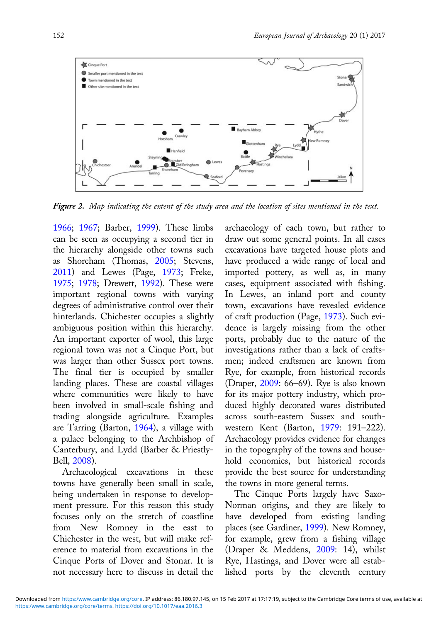<span id="page-4-0"></span>

Figure 2. Map indicating the extent of the study area and the location of sites mentioned in the text.

[1966;](#page-16-0) [1967;](#page-16-0) Barber, [1999\)](#page-15-0). These limbs can be seen as occupying a second tier in the hierarchy alongside other towns such as Shoreham (Thomas, [2005](#page-18-0); Stevens, [2011\)](#page-18-0) and Lewes (Page, [1973;](#page-18-0) Freke, [1975;](#page-16-0) [1978](#page-16-0); Drewett, [1992\)](#page-16-0). These were important regional towns with varying degrees of administrative control over their hinterlands. Chichester occupies a slightly ambiguous position within this hierarchy. An important exporter of wool, this large regional town was not a Cinque Port, but was larger than other Sussex port towns. The final tier is occupied by smaller landing places. These are coastal villages where communities were likely to have been involved in small-scale fishing and trading alongside agriculture. Examples are Tarring (Barton, [1964](#page-15-0)), a village with a palace belonging to the Archbishop of Canterbury, and Lydd (Barber & Priestly-Bell, [2008\)](#page-15-0).

Archaeological excavations in these towns have generally been small in scale, being undertaken in response to development pressure. For this reason this study focuses only on the stretch of coastline from New Romney in the east to Chichester in the west, but will make reference to material from excavations in the Cinque Ports of Dover and Stonar. It is not necessary here to discuss in detail the

archaeology of each town, but rather to draw out some general points. In all cases excavations have targeted house plots and have produced a wide range of local and imported pottery, as well as, in many cases, equipment associated with fishing. In Lewes, an inland port and county town, excavations have revealed evidence of craft production (Page, [1973](#page-18-0)). Such evidence is largely missing from the other ports, probably due to the nature of the investigations rather than a lack of craftsmen; indeed craftsmen are known from Rye, for example, from historical records (Draper, [2009](#page-16-0): 66–69). Rye is also known for its major pottery industry, which produced highly decorated wares distributed across south-eastern Sussex and southwestern Kent (Barton, [1979:](#page-15-0) 191–222). Archaeology provides evidence for changes in the topography of the towns and household economies, but historical records provide the best source for understanding the towns in more general terms.

The Cinque Ports largely have Saxo-Norman origins, and they are likely to have developed from existing landing places (see Gardiner, [1999](#page-16-0)). New Romney, for example, grew from a fishing village (Draper & Meddens, [2009:](#page-16-0) 14), whilst Rye, Hastings, and Dover were all established ports by the eleventh century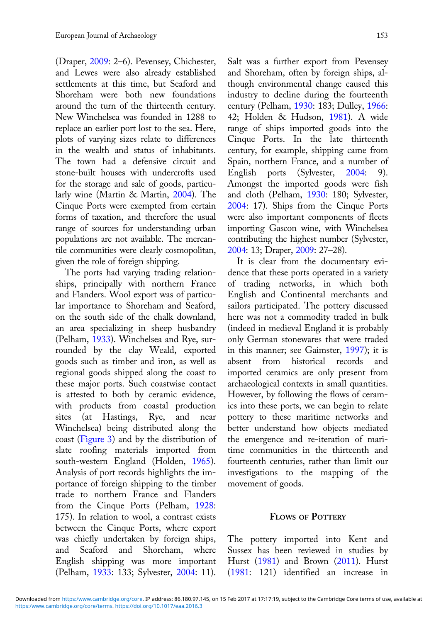(Draper, [2009:](#page-16-0) 2–6). Pevensey, Chichester, and Lewes were also already established settlements at this time, but Seaford and Shoreham were both new foundations around the turn of the thirteenth century. New Winchelsea was founded in 1288 to replace an earlier port lost to the sea. Here, plots of varying sizes relate to differences in the wealth and status of inhabitants. The town had a defensive circuit and stone-built houses with undercrofts used for the storage and sale of goods, particularly wine (Martin & Martin, [2004](#page-17-0)). The Cinque Ports were exempted from certain forms of taxation, and therefore the usual range of sources for understanding urban populations are not available. The mercantile communities were clearly cosmopolitan, given the role of foreign shipping.

The ports had varying trading relationships, principally with northern France and Flanders. Wool export was of particular importance to Shoreham and Seaford, on the south side of the chalk downland, an area specializing in sheep husbandry (Pelham, [1933](#page-18-0)). Winchelsea and Rye, surrounded by the clay Weald, exported goods such as timber and iron, as well as regional goods shipped along the coast to these major ports. Such coastwise contact is attested to both by ceramic evidence, with products from coastal production sites (at Hastings, Rye, and near Winchelsea) being distributed along the coast [\(Figure 3](#page-6-0)) and by the distribution of slate roofing materials imported from south-western England (Holden, [1965\)](#page-17-0). Analysis of port records highlights the importance of foreign shipping to the timber trade to northern France and Flanders from the Cinque Ports (Pelham, [1928](#page-18-0): 175). In relation to wool, a contrast exists between the Cinque Ports, where export was chiefly undertaken by foreign ships, and Seaford and Shoreham, where English shipping was more important (Pelham, [1933](#page-18-0): 133; Sylvester, [2004](#page-18-0): 11).

Salt was a further export from Pevensey and Shoreham, often by foreign ships, although environmental change caused this industry to decline during the fourteenth century (Pelham, [1930:](#page-18-0) 183; Dulley, [1966:](#page-16-0) 42; Holden & Hudson, [1981](#page-17-0)). A wide range of ships imported goods into the Cinque Ports. In the late thirteenth century, for example, shipping came from Spain, northern France, and a number of English ports (Sylvester, [2004](#page-18-0): 9). Amongst the imported goods were fish and cloth (Pelham, [1930](#page-18-0): 180; Sylvester, [2004:](#page-18-0) 17). Ships from the Cinque Ports were also important components of fleets importing Gascon wine, with Winchelsea contributing the highest number (Sylvester, [2004](#page-18-0): 13; Draper, [2009](#page-16-0): 27–28).

It is clear from the documentary evidence that these ports operated in a variety of trading networks, in which both English and Continental merchants and sailors participated. The pottery discussed here was not a commodity traded in bulk (indeed in medieval England it is probably only German stonewares that were traded in this manner; see Gaimster, [1997\)](#page-16-0); it is absent from historical records and imported ceramics are only present from archaeological contexts in small quantities. However, by following the flows of ceramics into these ports, we can begin to relate pottery to these maritime networks and better understand how objects mediated the emergence and re-iteration of maritime communities in the thirteenth and fourteenth centuries, rather than limit our investigations to the mapping of the movement of goods.

#### FLOWS OF POTTERY

The pottery imported into Kent and Sussex has been reviewed in studies by Hurst ([1981\)](#page-17-0) and Brown [\(2011](#page-16-0)). Hurst [\(1981](#page-17-0): 121) identified an increase in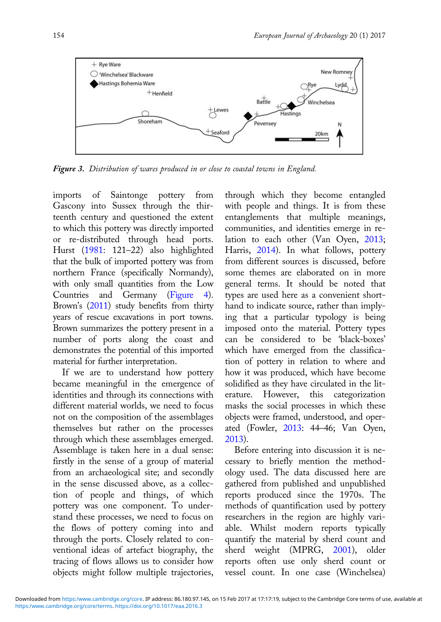<span id="page-6-0"></span>

Figure 3. Distribution of wares produced in or close to coastal towns in England.

imports of Saintonge pottery from Gascony into Sussex through the thirteenth century and questioned the extent to which this pottery was directly imported or re-distributed through head ports. Hurst [\(1981](#page-17-0): 121–22) also highlighted that the bulk of imported pottery was from northern France (specifically Normandy), with only small quantities from the Low Countries and Germany [\(Figure 4](#page-7-0)). Brown's [\(2011](#page-16-0)) study benefits from thirty years of rescue excavations in port towns. Brown summarizes the pottery present in a number of ports along the coast and demonstrates the potential of this imported material for further interpretation.

If we are to understand how pottery became meaningful in the emergence of identities and through its connections with different material worlds, we need to focus not on the composition of the assemblages themselves but rather on the processes through which these assemblages emerged. Assemblage is taken here in a dual sense: firstly in the sense of a group of material from an archaeological site; and secondly in the sense discussed above, as a collection of people and things, of which pottery was one component. To understand these processes, we need to focus on the flows of pottery coming into and through the ports. Closely related to conventional ideas of artefact biography, the tracing of flows allows us to consider how objects might follow multiple trajectories,

through which they become entangled with people and things. It is from these entanglements that multiple meanings, communities, and identities emerge in relation to each other (Van Oyen, [2013](#page-18-0); Harris, [2014\)](#page-17-0). In what follows, pottery from different sources is discussed, before some themes are elaborated on in more general terms. It should be noted that types are used here as a convenient shorthand to indicate source, rather than implying that a particular typology is being imposed onto the material. Pottery types can be considered to be 'black-boxes' which have emerged from the classification of pottery in relation to where and how it was produced, which have become solidified as they have circulated in the literature. However, this categorization masks the social processes in which these objects were framed, understood, and operated (Fowler, [2013](#page-16-0): 44–46; Van Oyen, [2013\)](#page-18-0).

Before entering into discussion it is necessary to briefly mention the methodology used. The data discussed here are gathered from published and unpublished reports produced since the 1970s. The methods of quantification used by pottery researchers in the region are highly variable. Whilst modern reports typically quantify the material by sherd count and sherd weight (MPRG, [2001\)](#page-18-0), older reports often use only sherd count or vessel count. In one case (Winchelsea)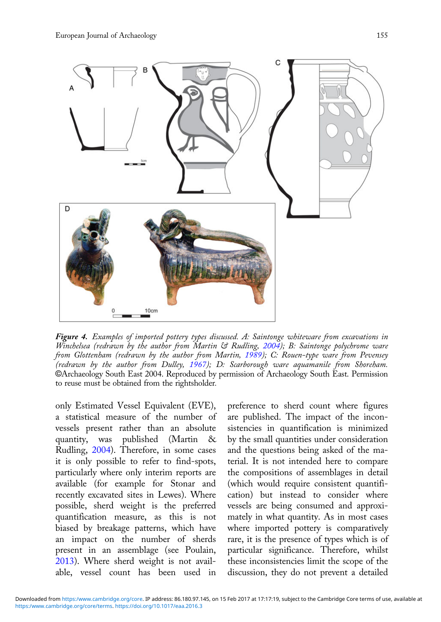<span id="page-7-0"></span>

Figure 4. Examples of imported pottery types discussed. A: Saintonge whiteware from excavations in Winchelsea (redrawn by the author from Martin & Rudling, [2004\)](#page-17-0); B: Saintonge polychrome ware from Glottenham (redrawn by the author from Martin, [1989](#page-17-0)); C: Rouen-type ware from Pevensey (redrawn by the author from Dulley, [1967](#page-16-0)); D: Scarborough ware aquamanile from Shoreham. ©Archaeology South East 2004. Reproduced by permission of Archaeology South East. Permission to reuse must be obtained from the rightsholder.

only Estimated Vessel Equivalent (EVE), a statistical measure of the number of vessels present rather than an absolute quantity, was published (Martin & Rudling, [2004](#page-17-0)). Therefore, in some cases it is only possible to refer to find-spots, particularly where only interim reports are available (for example for Stonar and recently excavated sites in Lewes). Where possible, sherd weight is the preferred quantification measure, as this is not biased by breakage patterns, which have an impact on the number of sherds present in an assemblage (see Poulain, [2013](#page-18-0)). Where sherd weight is not available, vessel count has been used in

preference to sherd count where figures are published. The impact of the inconsistencies in quantification is minimized by the small quantities under consideration and the questions being asked of the material. It is not intended here to compare the compositions of assemblages in detail (which would require consistent quantification) but instead to consider where vessels are being consumed and approximately in what quantity. As in most cases where imported pottery is comparatively rare, it is the presence of types which is of particular significance. Therefore, whilst these inconsistencies limit the scope of the discussion, they do not prevent a detailed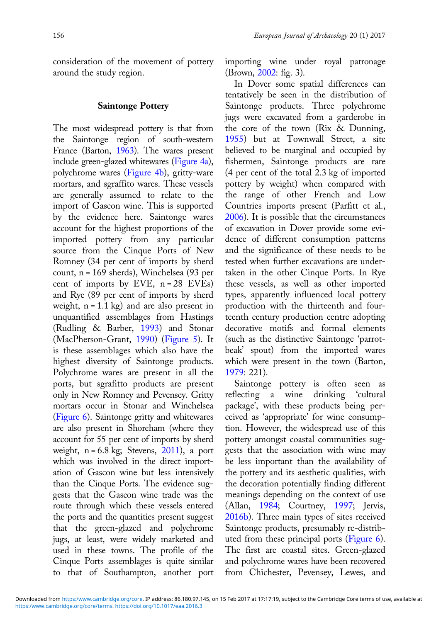consideration of the movement of pottery around the study region.

## Saintonge Pottery

The most widespread pottery is that from the Saintonge region of south-western France (Barton, [1963\)](#page-15-0). The wares present include green-glazed whitewares [\(Figure 4a](#page-7-0)), polychrome wares ([Figure 4b](#page-7-0)), gritty-ware mortars, and sgraffito wares. These vessels are generally assumed to relate to the import of Gascon wine. This is supported by the evidence here. Saintonge wares account for the highest proportions of the imported pottery from any particular source from the Cinque Ports of New Romney (34 per cent of imports by sherd count, n = 169 sherds), Winchelsea (93 per cent of imports by EVE,  $n = 28$  EVEs) and Rye (89 per cent of imports by sherd weight,  $n = 1.1$  kg) and are also present in unquantified assemblages from Hastings (Rudling & Barber, [1993\)](#page-18-0) and Stonar (MacPherson-Grant, [1990\)](#page-17-0) [\(Figure 5](#page-9-0)). It is these assemblages which also have the highest diversity of Saintonge products. Polychrome wares are present in all the ports, but sgrafitto products are present only in New Romney and Pevensey. Gritty mortars occur in Stonar and Winchelsea ([Figure 6\)](#page-9-0). Saintonge gritty and whitewares are also present in Shoreham (where they account for 55 per cent of imports by sherd weight,  $n = 6.8$  kg; Stevens, [2011](#page-18-0)), a port which was involved in the direct importation of Gascon wine but less intensively than the Cinque Ports. The evidence suggests that the Gascon wine trade was the route through which these vessels entered the ports and the quantities present suggest that the green-glazed and polychrome jugs, at least, were widely marketed and used in these towns. The profile of the Cinque Ports assemblages is quite similar to that of Southampton, another port

importing wine under royal patronage (Brown, [2002](#page-16-0): fig. 3).

In Dover some spatial differences can tentatively be seen in the distribution of Saintonge products. Three polychrome jugs were excavated from a garderobe in the core of the town (Rix & Dunning, [1955](#page-18-0)) but at Townwall Street, a site believed to be marginal and occupied by fishermen, Saintonge products are rare (4 per cent of the total 2.3 kg of imported pottery by weight) when compared with the range of other French and Low Countries imports present (Parfitt et al., [2006](#page-18-0)). It is possible that the circumstances of excavation in Dover provide some evidence of different consumption patterns and the significance of these needs to be tested when further excavations are undertaken in the other Cinque Ports. In Rye these vessels, as well as other imported types, apparently influenced local pottery production with the thirteenth and fourteenth century production centre adopting decorative motifs and formal elements (such as the distinctive Saintonge 'parrotbeak' spout) from the imported wares which were present in the town (Barton, [1979](#page-15-0): 221).

Saintonge pottery is often seen as reflecting a wine drinking 'cultural package', with these products being perceived as 'appropriate' for wine consumption. However, the widespread use of this pottery amongst coastal communities suggests that the association with wine may be less important than the availability of the pottery and its aesthetic qualities, with the decoration potentially finding different meanings depending on the context of use (Allan, [1984](#page-15-0); Courtney, [1997;](#page-16-0) Jervis, [2016b](#page-17-0)). Three main types of sites received Saintonge products, presumably re-distributed from these principal ports ([Figure 6\)](#page-9-0). The first are coastal sites. Green-glazed and polychrome wares have been recovered from Chichester, Pevensey, Lewes, and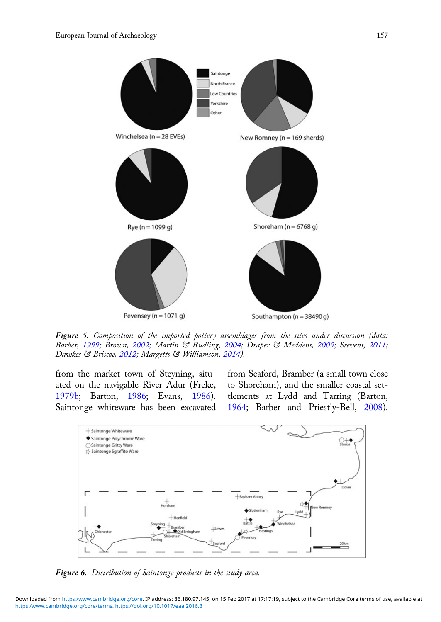<span id="page-9-0"></span>

Figure 5. Composition of the imported pottery assemblages from the sites under discussion (data: Barber, [1999;](#page-15-0) Brown, [2002;](#page-16-0) Martin & Rudling, [2004](#page-17-0); Draper & Meddens, [2009](#page-16-0); Stevens, [2011](#page-18-0); Dawkes & Briscoe, [2012](#page-16-0); Margetts & Williamson, [2014](#page-17-0)).

from the market town of Steyning, situated on the navigable River Adur (Freke, [1979b;](#page-16-0) Barton, [1986](#page-16-0); Evans, [1986\)](#page-16-0). Saintonge whiteware has been excavated

from Seaford, Bramber (a small town close to Shoreham), and the smaller coastal settlements at Lydd and Tarring (Barton, [1964;](#page-15-0) Barber and Priestly-Bell, [2008\)](#page-15-0).



Figure 6. Distribution of Saintonge products in the study area.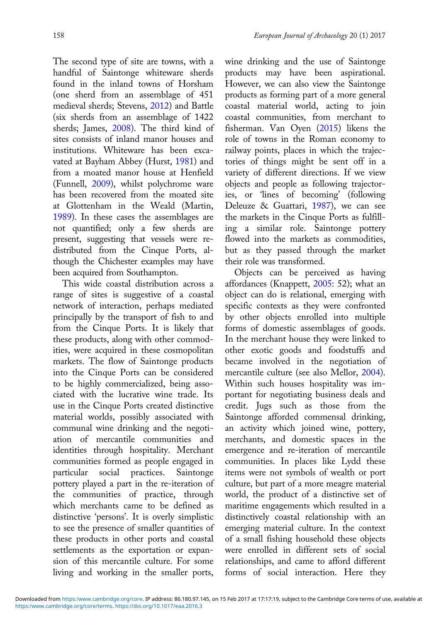The second type of site are towns, with a handful of Saintonge whiteware sherds found in the inland towns of Horsham (one sherd from an assemblage of 451 medieval sherds; Stevens, [2012](#page-18-0)) and Battle (six sherds from an assemblage of 1422 sherds; James, [2008](#page-17-0)). The third kind of sites consists of inland manor houses and institutions. Whiteware has been excavated at Bayham Abbey (Hurst, [1981](#page-17-0)) and from a moated manor house at Henfield (Funnell, [2009](#page-16-0)), whilst polychrome ware has been recovered from the moated site at Glottenham in the Weald (Martin, [1989\)](#page-17-0). In these cases the assemblages are not quantified; only a few sherds are present, suggesting that vessels were redistributed from the Cinque Ports, although the Chichester examples may have been acquired from Southampton.

This wide coastal distribution across a range of sites is suggestive of a coastal network of interaction, perhaps mediated principally by the transport of fish to and from the Cinque Ports. It is likely that these products, along with other commodities, were acquired in these cosmopolitan markets. The flow of Saintonge products into the Cinque Ports can be considered to be highly commercialized, being associated with the lucrative wine trade. Its use in the Cinque Ports created distinctive material worlds, possibly associated with communal wine drinking and the negotiation of mercantile communities and identities through hospitality. Merchant communities formed as people engaged in particular social practices. Saintonge pottery played a part in the re-iteration of the communities of practice, through which merchants came to be defined as distinctive 'persons'. It is overly simplistic to see the presence of smaller quantities of these products in other ports and coastal settlements as the exportation or expansion of this mercantile culture. For some living and working in the smaller ports,

wine drinking and the use of Saintonge products may have been aspirational. However, we can also view the Saintonge products as forming part of a more general coastal material world, acting to join coastal communities, from merchant to fisherman. Van Oyen [\(2015](#page-18-0)) likens the role of towns in the Roman economy to railway points, places in which the trajectories of things might be sent off in a variety of different directions. If we view objects and people as following trajectories, or 'lines of becoming' (following Deleuze & Guattari, [1987](#page-16-0)), we can see the markets in the Cinque Ports as fulfilling a similar role. Saintonge pottery flowed into the markets as commodities, but as they passed through the market their role was transformed.

Objects can be perceived as having affordances (Knappett, [2005](#page-17-0): 52); what an object can do is relational, emerging with specific contexts as they were confronted by other objects enrolled into multiple forms of domestic assemblages of goods. In the merchant house they were linked to other exotic goods and foodstuffs and became involved in the negotiation of mercantile culture (see also Mellor, [2004\)](#page-17-0). Within such houses hospitality was important for negotiating business deals and credit. Jugs such as those from the Saintonge afforded commensal drinking, an activity which joined wine, pottery, merchants, and domestic spaces in the emergence and re-iteration of mercantile communities. In places like Lydd these items were not symbols of wealth or port culture, but part of a more meagre material world, the product of a distinctive set of maritime engagements which resulted in a distinctively coastal relationship with an emerging material culture. In the context of a small fishing household these objects were enrolled in different sets of social relationships, and came to afford different forms of social interaction. Here they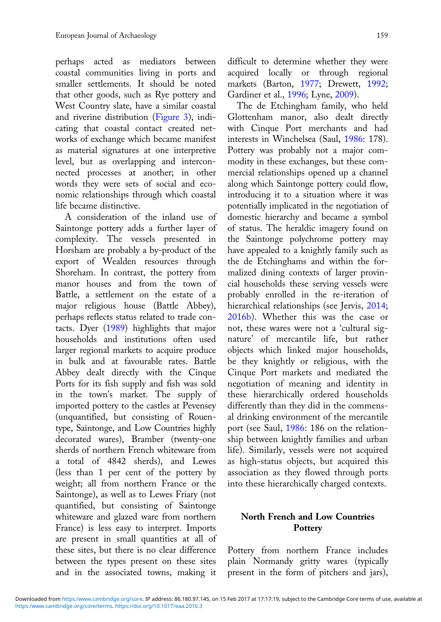perhaps acted as mediators between coastal communities living in ports and smaller settlements. It should be noted that other goods, such as Rye pottery and West Country slate, have a similar coastal and riverine distribution ([Figure 3\)](#page-6-0), indicating that coastal contact created networks of exchange which became manifest as material signatures at one interpretive level, but as overlapping and interconnected processes at another; in other words they were sets of social and economic relationships through which coastal life became distinctive.

A consideration of the inland use of Saintonge pottery adds a further layer of complexity. The vessels presented in Horsham are probably a by-product of the export of Wealden resources through Shoreham. In contrast, the pottery from manor houses and from the town of Battle, a settlement on the estate of a major religious house (Battle Abbey), perhaps reflects status related to trade contacts. Dyer [\(1989](#page-16-0)) highlights that major households and institutions often used larger regional markets to acquire produce in bulk and at favourable rates. Battle Abbey dealt directly with the Cinque Ports for its fish supply and fish was sold in the town's market. The supply of imported pottery to the castles at Pevensey (unquantified, but consisting of Rouentype, Saintonge, and Low Countries highly decorated wares), Bramber (twenty-one sherds of northern French whiteware from a total of 4842 sherds), and Lewes (less than 1 per cent of the pottery by weight; all from northern France or the Saintonge), as well as to Lewes Friary (not quantified, but consisting of Saintonge whiteware and glazed ware from northern France) is less easy to interpret. Imports are present in small quantities at all of these sites, but there is no clear difference between the types present on these sites and in the associated towns, making it

difficult to determine whether they were acquired locally or through regional markets (Barton, [1977;](#page-15-0) Drewett, [1992;](#page-16-0) Gardiner et al., [1996](#page-16-0); Lyne, [2009\)](#page-17-0).

The de Etchingham family, who held Glottenham manor, also dealt directly with Cinque Port merchants and had interests in Winchelsea (Saul, [1986](#page-18-0): 178). Pottery was probably not a major commodity in these exchanges, but these commercial relationships opened up a channel along which Saintonge pottery could flow, introducing it to a situation where it was potentially implicated in the negotiation of domestic hierarchy and became a symbol of status. The heraldic imagery found on the Saintonge polychrome pottery may have appealed to a knightly family such as the de Etchinghams and within the formalized dining contexts of larger provincial households these serving vessels were probably enrolled in the re-iteration of hierarchical relationships (see Jervis, [2014;](#page-17-0) [2016b\)](#page-17-0). Whether this was the case or not, these wares were not a 'cultural signature' of mercantile life, but rather objects which linked major households, be they knightly or religious, with the Cinque Port markets and mediated the negotiation of meaning and identity in these hierarchically ordered households differently than they did in the commensal drinking environment of the mercantile port (see Saul, [1986:](#page-18-0) 186 on the relationship between knightly families and urban life). Similarly, vessels were not acquired as high-status objects, but acquired this association as they flowed through ports into these hierarchically charged contexts.

# North French and Low Countries **Pottery**

Pottery from northern France includes plain Normandy gritty wares (typically present in the form of pitchers and jars),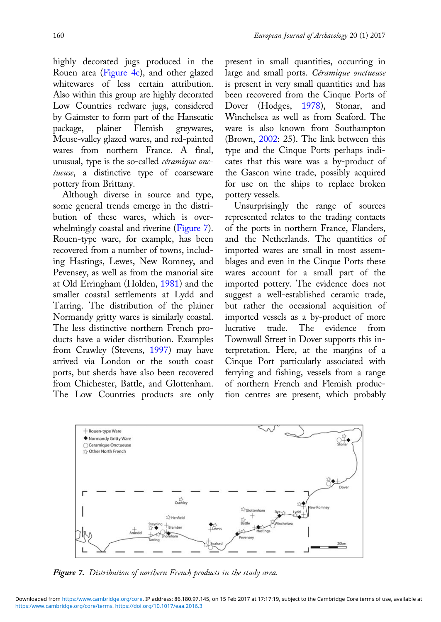highly decorated jugs produced in the Rouen area [\(Figure 4c](#page-7-0)), and other glazed whitewares of less certain attribution. Also within this group are highly decorated Low Countries redware jugs, considered by Gaimster to form part of the Hanseatic package, plainer Flemish greywares, Meuse-valley glazed wares, and red-painted wares from northern France. A final, unusual, type is the so-called céramique onctueuse, a distinctive type of coarseware pottery from Brittany.

Although diverse in source and type, some general trends emerge in the distribution of these wares, which is overwhelmingly coastal and riverine (Figure 7). Rouen-type ware, for example, has been recovered from a number of towns, including Hastings, Lewes, New Romney, and Pevensey, as well as from the manorial site at Old Erringham (Holden, [1981\)](#page-17-0) and the smaller coastal settlements at Lydd and Tarring. The distribution of the plainer Normandy gritty wares is similarly coastal. The less distinctive northern French products have a wider distribution. Examples from Crawley (Stevens, [1997](#page-18-0)) may have arrived via London or the south coast ports, but sherds have also been recovered from Chichester, Battle, and Glottenham. The Low Countries products are only present in small quantities, occurring in large and small ports. Céramique onctueuse is present in very small quantities and has been recovered from the Cinque Ports of Dover (Hodges, [1978](#page-17-0)), Stonar, and Winchelsea as well as from Seaford. The ware is also known from Southampton (Brown, [2002](#page-16-0): 25). The link between this type and the Cinque Ports perhaps indicates that this ware was a by-product of the Gascon wine trade, possibly acquired for use on the ships to replace broken pottery vessels.

Unsurprisingly the range of sources represented relates to the trading contacts of the ports in northern France, Flanders, and the Netherlands. The quantities of imported wares are small in most assemblages and even in the Cinque Ports these wares account for a small part of the imported pottery. The evidence does not suggest a well-established ceramic trade, but rather the occasional acquisition of imported vessels as a by-product of more lucrative trade. The evidence from Townwall Street in Dover supports this interpretation. Here, at the margins of a Cinque Port particularly associated with ferrying and fishing, vessels from a range of northern French and Flemish production centres are present, which probably



Figure 7. Distribution of northern French products in the study area.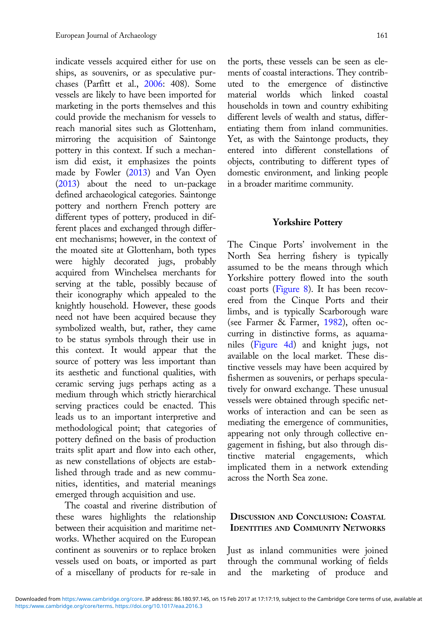indicate vessels acquired either for use on ships, as souvenirs, or as speculative purchases (Parfitt et al., [2006](#page-18-0): 408). Some vessels are likely to have been imported for marketing in the ports themselves and this could provide the mechanism for vessels to reach manorial sites such as Glottenham, mirroring the acquisition of Saintonge pottery in this context. If such a mechanism did exist, it emphasizes the points made by Fowler [\(2013\)](#page-16-0) and Van Oyen ([2013](#page-18-0)) about the need to un-package defined archaeological categories. Saintonge pottery and northern French pottery are different types of pottery, produced in different places and exchanged through different mechanisms; however, in the context of the moated site at Glottenham, both types were highly decorated jugs, probably acquired from Winchelsea merchants for serving at the table, possibly because of their iconography which appealed to the knightly household. However, these goods need not have been acquired because they symbolized wealth, but, rather, they came to be status symbols through their use in this context. It would appear that the source of pottery was less important than its aesthetic and functional qualities, with ceramic serving jugs perhaps acting as a medium through which strictly hierarchical serving practices could be enacted. This leads us to an important interpretive and methodological point; that categories of pottery defined on the basis of production traits split apart and flow into each other, as new constellations of objects are established through trade and as new communities, identities, and material meanings emerged through acquisition and use.

The coastal and riverine distribution of these wares highlights the relationship between their acquisition and maritime networks. Whether acquired on the European continent as souvenirs or to replace broken vessels used on boats, or imported as part of a miscellany of products for re-sale in

the ports, these vessels can be seen as elements of coastal interactions. They contributed to the emergence of distinctive material worlds which linked coastal households in town and country exhibiting different levels of wealth and status, differentiating them from inland communities. Yet, as with the Saintonge products, they entered into different constellations of objects, contributing to different types of domestic environment, and linking people in a broader maritime community.

#### Yorkshire Pottery

The Cinque Ports' involvement in the North Sea herring fishery is typically assumed to be the means through which Yorkshire pottery flowed into the south coast ports ([Figure 8\)](#page-14-0). It has been recovered from the Cinque Ports and their limbs, and is typically Scarborough ware (see Farmer & Farmer, [1982](#page-16-0)), often occurring in distinctive forms, as aquamaniles [\(Figure 4d\)](#page-7-0) and knight jugs, not available on the local market. These distinctive vessels may have been acquired by fishermen as souvenirs, or perhaps speculatively for onward exchange. These unusual vessels were obtained through specific networks of interaction and can be seen as mediating the emergence of communities, appearing not only through collective engagement in fishing, but also through distinctive material engagements, which implicated them in a network extending across the North Sea zone.

## DISCUSSION AND CONCLUSION: COASTAL IDENTITIES AND COMMUNITY NETWORKS

Just as inland communities were joined through the communal working of fields and the marketing of produce and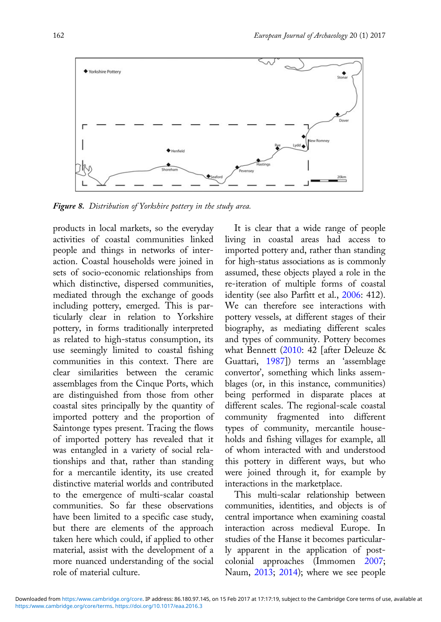<span id="page-14-0"></span>

Figure 8. Distribution of Yorkshire pottery in the study area.

products in local markets, so the everyday activities of coastal communities linked people and things in networks of interaction. Coastal households were joined in sets of socio-economic relationships from which distinctive, dispersed communities, mediated through the exchange of goods including pottery, emerged. This is particularly clear in relation to Yorkshire pottery, in forms traditionally interpreted as related to high-status consumption, its use seemingly limited to coastal fishing communities in this context. There are clear similarities between the ceramic assemblages from the Cinque Ports, which are distinguished from those from other coastal sites principally by the quantity of imported pottery and the proportion of Saintonge types present. Tracing the flows of imported pottery has revealed that it was entangled in a variety of social relationships and that, rather than standing for a mercantile identity, its use created distinctive material worlds and contributed to the emergence of multi-scalar coastal communities. So far these observations have been limited to a specific case study, but there are elements of the approach taken here which could, if applied to other material, assist with the development of a more nuanced understanding of the social role of material culture.

It is clear that a wide range of people living in coastal areas had access to imported pottery and, rather than standing for high-status associations as is commonly assumed, these objects played a role in the re-iteration of multiple forms of coastal identity (see also Parfitt et al., [2006:](#page-18-0) 412). We can therefore see interactions with pottery vessels, at different stages of their biography, as mediating different scales and types of community. Pottery becomes what Bennett [\(2010](#page-16-0): 42 [after Deleuze & Guattari, [1987](#page-16-0)]) terms an 'assemblage convertor', something which links assemblages (or, in this instance, communities) being performed in disparate places at different scales. The regional-scale coastal community fragmented into different types of community, mercantile households and fishing villages for example, all of whom interacted with and understood this pottery in different ways, but who were joined through it, for example by interactions in the marketplace.

This multi-scalar relationship between communities, identities, and objects is of central importance when examining coastal interaction across medieval Europe. In studies of the Hanse it becomes particularly apparent in the application of postcolonial approaches (Immomen [2007](#page-17-0); Naum, [2013](#page-18-0); [2014\)](#page-18-0); where we see people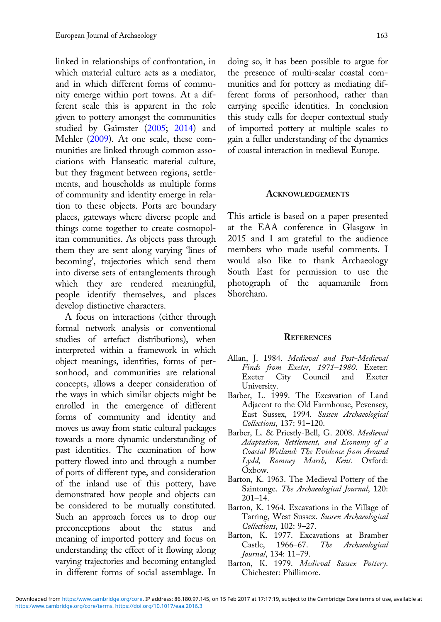<span id="page-15-0"></span>linked in relationships of confrontation, in which material culture acts as a mediator, and in which different forms of community emerge within port towns. At a different scale this is apparent in the role given to pottery amongst the communities studied by Gaimster ([2005;](#page-16-0) [2014](#page-16-0)) and Mehler [\(2009](#page-17-0)). At one scale, these communities are linked through common associations with Hanseatic material culture, but they fragment between regions, settlements, and households as multiple forms of community and identity emerge in relation to these objects. Ports are boundary places, gateways where diverse people and things come together to create cosmopolitan communities. As objects pass through them they are sent along varying 'lines of becoming', trajectories which send them into diverse sets of entanglements through which they are rendered meaningful, people identify themselves, and places develop distinctive characters.

A focus on interactions (either through formal network analysis or conventional studies of artefact distributions), when interpreted within a framework in which object meanings, identities, forms of personhood, and communities are relational concepts, allows a deeper consideration of the ways in which similar objects might be enrolled in the emergence of different forms of community and identity and moves us away from static cultural packages towards a more dynamic understanding of past identities. The examination of how pottery flowed into and through a number of ports of different type, and consideration of the inland use of this pottery, have demonstrated how people and objects can be considered to be mutually constituted. Such an approach forces us to drop our preconceptions about the status and meaning of imported pottery and focus on understanding the effect of it flowing along varying trajectories and becoming entangled in different forms of social assemblage. In

doing so, it has been possible to argue for the presence of multi-scalar coastal communities and for pottery as mediating different forms of personhood, rather than carrying specific identities. In conclusion this study calls for deeper contextual study of imported pottery at multiple scales to gain a fuller understanding of the dynamics of coastal interaction in medieval Europe.

#### **ACKNOWLEDGEMENTS**

This article is based on a paper presented at the EAA conference in Glasgow in 2015 and I am grateful to the audience members who made useful comments. I would also like to thank Archaeology South East for permission to use the photograph of the aquamanile from Shoreham.

#### **REFERENCES**

- Allan, J. 1984. Medieval and Post-Medieval Finds from Exeter, 1971–1980. Exeter:<br>Exeter City Council and Exeter Exeter City University.
- Barber, L. 1999. The Excavation of Land Adjacent to the Old Farmhouse, Pevensey, East Sussex, 1994. Sussex Archaeological Collections, 137: 91–120.
- Barber, L. & Priestly-Bell, G. 2008. Medieval Adaptation, Settlement, and Economy of a Coastal Wetland: The Evidence from Around Lydd, Romney Marsh, Kent. Oxford: Oxbow.
- Barton, K. 1963. The Medieval Pottery of the Saintonge. The Archaeological Journal, 120: 201–14.
- Barton, K. 1964. Excavations in the Village of Tarring, West Sussex. Sussex Archaeological Collections, 102: 9–27.
- Barton, K. 1977. Excavations at Bramber Castle, 1966–67. The Archaeological Journal, 134: 11–79.
- Barton, K. 1979. Medieval Sussex Pottery. Chichester: Phillimore.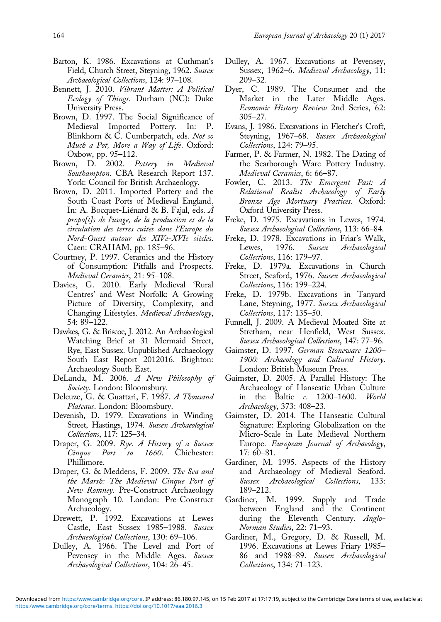- <span id="page-16-0"></span>Barton, K. 1986. Excavations at Cuthman's Field, Church Street, Steyning, 1962. Sussex Archaeological Collections, 124: 97–108.
- Bennett, J. 2010. Vibrant Matter: A Political Ecology of Things. Durham (NC): Duke University Press.
- Brown, D. 1997. The Social Significance of Medieval Imported Pottery. In: P. Blinkhorn & C. Cumberpatch, eds. Not so Much a Pot, More a Way of Life. Oxford: Oxbow, pp. 95–112.
- Brown, D. 2002. Pottery in Medieval Southampton. CBA Research Report 137. York: Council for British Archaeology.
- Brown, D. 2011. Imported Pottery and the South Coast Ports of Medieval England. In: A. Bocquet-Liénard & B. Fajal, eds. À propo[t]s de l'usage, de la production et de la circulation des terres cuites dans l'Europe du Nord-Ouest autour des XIVe-XVIe siècles. Caen: CRAHAM, pp. 185–96.
- Courtney, P. 1997. Ceramics and the History of Consumption: Pitfalls and Prospects. Medieval Ceramics, 21: 95–108.
- Davies, G. 2010. Early Medieval 'Rural Centres' and West Norfolk: A Growing Picture of Diversity, Complexity, and Changing Lifestyles. Medieval Archaeology, 54: 89–122.
- Dawkes, G. & Briscoe, J. 2012. An Archaeological Watching Brief at 31 Mermaid Street, Rye, East Sussex. Unpublished Archaeology South East Report 2012016. Brighton: Archaeology South East.
- DeLanda, M. 2006. A New Philosophy of Society. London: Bloomsbury.
- Deleuze, G. & Guattari, F. 1987. A Thousand Plateaus. London: Bloomsbury.
- Devenish, D. 1979. Excavations in Winding Street, Hastings, 1974. Sussex Archaeological Collections, 117: 125–34.
- Draper, G. 2009. Rye. A History of a Sussex<br>Cinque Port to 1660. Chichester:  $Cingue$  Port to 1660. Phillimore.
- Draper, G. & Meddens, F. 2009. The Sea and the Marsh: The Medieval Cinque Port of New Romney. Pre-Construct Archaeology Monograph 10. London: Pre-Construct Archaeology.
- Drewett, P. 1992. Excavations at Lewes Castle, East Sussex 1985–1988. Sussex Archaeological Collections, 130: 69–106.
- Dulley, A. 1966. The Level and Port of Pevensey in the Middle Ages. Sussex Archaeological Collections, 104: 26–45.
- Dulley, A. 1967. Excavations at Pevensey, Sussex, 1962-6. Medieval Archaeology, 11: 209–32.
- Dyer, C. 1989. The Consumer and the Market in the Later Middle Ages. Economic History Review 2nd Series, 62: 305–27.
- Evans, J. 1986. Excavations in Fletcher's Croft, Steyning, 1967–68. Sussex Archaeological Collections, 124: 79–95.
- Farmer, P. & Farmer, N. 1982. The Dating of the Scarborough Ware Pottery Industry. Medieval Ceramics, 6: 66–87.
- Fowler, C. 2013. The Emergent Past: A Relational Realist Archaeology of Early Bronze Age Mortuary Practices. Oxford: Oxford University Press.
- Freke, D. 1975. Excavations in Lewes, 1974. Sussex Archaeological Collections, 113: 66–84.
- Freke, D. 1978. Excavations in Friar's Walk, Lewes, 1976. Sussex Archaeological Collections, 116: 179–97.
- Freke, D. 1979a. Excavations in Church Street, Seaford, 1976. Sussex Archaeological Collections, 116: 199–224.
- Freke, D. 1979b. Excavations in Tanyard Lane, Steyning, 1977. Sussex Archaeological Collections, 117: 135–50.
- Funnell, J. 2009. A Medieval Moated Site at Stretham, near Henfield, West Sussex. Sussex Archaeological Collections, 147: 77–96.
- Gaimster, D. 1997. German Stoneware 1200– 1900: Archaeology and Cultural History. London: British Museum Press.
- Gaimster, D. 2005. A Parallel History: The Archaeology of Hanseatic Urban Culture in the Baltic c. 1200–1600. World Archaeology, 373: 408–23.
- Gaimster, D. 2014. The Hanseatic Cultural Signature: Exploring Globalization on the Micro-Scale in Late Medieval Northern Europe. European Journal of Archaeology, 17: 60–81.
- Gardiner, M. 1995. Aspects of the History and Archaeology of Medieval Seaford. Sussex Archaeological Collections, 133: 189–212.
- Gardiner, M. 1999. Supply and Trade between England and the Continent during the Eleventh Century. Anglo-Norman Studies, 22: 71–93.
- Gardiner, M., Gregory, D. & Russell, M. 1996. Excavations at Lewes Friary 1985– 86 and 1988–89. Sussex Archaeological Collections, 134: 71–123.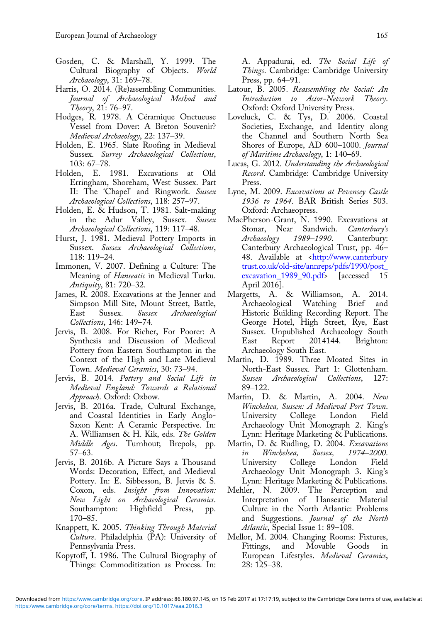- <span id="page-17-0"></span>Gosden, C. & Marshall, Y. 1999. The Cultural Biography of Objects. World Archaeology, 31: 169–78.
- Harris, O. 2014. (Re)assembling Communities. Journal of Archaeological Method and Theory, 21: 76–97.
- Hodges, R. 1978. A Céramique Onctueuse Vessel from Dover: A Breton Souvenir? Medieval Archaeology, 22: 137–39.
- Holden, E. 1965. Slate Roofing in Medieval Sussex. Surrey Archaeological Collections, 103: 67–78.
- Holden, E. 1981. Excavations at Old Erringham, Shoreham, West Sussex. Part II: The 'Chapel' and Ringwork. Sussex Archaeological Collections, 118: 257–97.
- Holden, E. & Hudson, T. 1981. Salt-making in the Adur Valley, Sussex. Sussex Archaeological Collections, 119: 117–48.
- Hurst, J. 1981. Medieval Pottery Imports in Sussex. Sussex Archaeological Collections, 118: 119–24.
- Immonen, V. 2007. Defining a Culture: The Meaning of Hanseatic in Medieval Turku. Antiquity, 81: 720–32.
- James, R. 2008. Excavations at the Jenner and Simpson Mill Site, Mount Street, Battle, East Sussex. Sussex Archaeological Collections, 146: 149–74.
- Jervis, B. 2008. For Richer, For Poorer: A Synthesis and Discussion of Medieval Pottery from Eastern Southampton in the Context of the High and Late Medieval Town. Medieval Ceramics, 30: 73–94.
- Jervis, B. 2014. Pottery and Social Life in Medieval England: Towards a Relational Approach. Oxford: Oxbow.
- Jervis, B. 2016a. Trade, Cultural Exchange, and Coastal Identities in Early Anglo-Saxon Kent: A Ceramic Perspective. In: A. Williamsen & H. Kik, eds. The Golden Middle Ages. Turnhout; Brepols, pp. 57–63.
- Jervis, B. 2016b. A Picture Says a Thousand Words: Decoration, Effect, and Medieval Pottery. In: E. Sibbesson, B. Jervis & S. Coxon, eds. Insight from Innovation: New Light on Archaeological Ceramics. Southampton: Highfield Press, pp. 170–85.
- Knappett, K. 2005. Thinking Through Material Culture. Philadelphia (PA): University of Pennsylvania Press.
- Kopytoff, I. 1986. The Cultural Biography of Things: Commoditization as Process. In:

A. Appadurai, ed. The Social Life of Things. Cambridge: Cambridge University Press, pp. 64–91.

- Latour, B. 2005. Reassembling the Social: An Introduction to Actor-Network Theory. Oxford: Oxford University Press.
- Loveluck, C. & Tys, D. 2006. Coastal Societies, Exchange, and Identity along the Channel and Southern North Sea Shores of Europe, AD 600–1000. Journal of Maritime Archaeology, 1: 140–69.
- Lucas, G. 2012. Understanding the Archaeological Record. Cambridge: Cambridge University Press.
- Lyne, M. 2009. Excavations at Pevensey Castle 1936 to 1964. BAR British Series 503. Oxford: Archaeopress.
- MacPherson-Grant, N. 1990. Excavations at Stonar, Near Sandwich. Canterbury's Archaeology 1989–1990. Canterbury: Canterbury Archaeological Trust, pp. 46– 48. Available at [<http://www.canterbury](http://www.canterburytrust.co.uk/old-site/annreps/pdfs/1990/post_excavation_1989_90.pdf) [trust.co.uk/old-site/annreps/pdfs/1990/post\\_](http://www.canterburytrust.co.uk/old-site/annreps/pdfs/1990/post_excavation_1989_90.pdf) [excavation\\_1989\\_90.pdf](http://www.canterburytrust.co.uk/old-site/annreps/pdfs/1990/post_excavation_1989_90.pdf)> [accessed 15 April 2016].
- Margetts, A. & Williamson, A. 2014. Archaeological Watching Brief and Historic Building Recording Report. The George Hotel, High Street, Rye, East Sussex. Unpublished Archaeology South East Report 2014144. Brighton: Archaeology South East.
- Martin, D. 1989. Three Moated Sites in North-East Sussex. Part 1: Glottenham. Sussex Archaeological Collections, 127: 89–122.
- Martin, D. & Martin, A. 2004. New Winchelsea, Sussex: A Medieval Port Town. University College London Field Archaeology Unit Monograph 2. King's Lynn: Heritage Marketing & Publications.
- Martin, D. & Rudling, D. 2004. Excavations in Winchelsea, Sussex, 1974–2000. University College London Field Archaeology Unit Monograph 3. King's Lynn: Heritage Marketing & Publications.
- Mehler, N. 2009. The Perception and Interpretation of Hanseatic Material Culture in the North Atlantic: Problems and Suggestions. Journal of the North Atlantic, Special Issue 1: 89-108.
- Mellor, M. 2004. Changing Rooms: Fixtures, Fittings, and Movable Goods in European Lifestyles. Medieval Ceramics, 28: 125–38.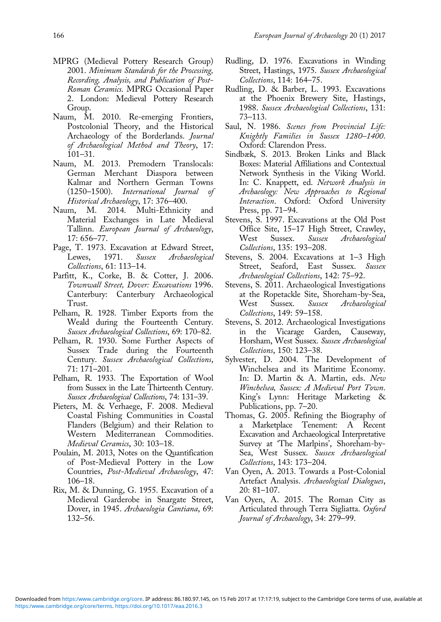- <span id="page-18-0"></span>MPRG (Medieval Pottery Research Group) 2001. Minimum Standards for the Processing, Recording, Analysis, and Publication of Post-Roman Ceramics. MPRG Occasional Paper 2. London: Medieval Pottery Research Group.
- Naum, M. 2010. Re-emerging Frontiers, Postcolonial Theory, and the Historical Archaeology of the Borderlands. Journal of Archaeological Method and Theory, 17: 101–31.
- Naum, M. 2013. Premodern Translocals: German Merchant Diaspora between Kalmar and Northern German Towns (1250–1500). International Journal of Historical Archaeology, 17: 376–400.
- Naum, M. 2014. Multi-Ethnicity and Material Exchanges in Late Medieval Tallinn. European Journal of Archaeology, 17: 656–77.
- Page, T. 1973. Excavation at Edward Street, Lewes, 1971. Sussex Archaeological Collections, 61: 113–14.
- Parfitt, K., Corke, B. & Cotter, J. 2006. Townwall Street, Dover: Excavations 1996. Canterbury: Canterbury Archaeological Trust.
- Pelham, R. 1928. Timber Exports from the Weald during the Fourteenth Century. Sussex Archaeological Collections, 69: 170–82.
- Pelham, R. 1930. Some Further Aspects of Sussex Trade during the Fourteenth Century. Sussex Archaeological Collections, 71: 171–201.
- Pelham, R. 1933. The Exportation of Wool from Sussex in the Late Thirteenth Century. Sussex Archaeological Collections, 74: 131–39.
- Pieters, M. & Verhaege, F. 2008. Medieval Coastal Fishing Communities in Coastal Flanders (Belgium) and their Relation to Western Mediterranean Commodities. Medieval Ceramics, 30: 103–18.
- Poulain, M. 2013, Notes on the Quantification of Post-Medieval Pottery in the Low Countries, Post-Medieval Archaeology, 47: 106–18.
- Rix, M. & Dunning, G. 1955. Excavation of a Medieval Garderobe in Snargate Street, Dover, in 1945. Archaeologia Cantiana, 69: 132–56.
- Rudling, D. 1976. Excavations in Winding Street, Hastings, 1975. Sussex Archaeological Collections, 114: 164–75.
- Rudling, D. & Barber, L. 1993. Excavations at the Phoenix Brewery Site, Hastings, 1988. Sussex Archaeological Collections, 131: 73–113.
- Saul, N. 1986. Scenes from Provincial Life: Knightly Families in Sussex 1280–1400. Oxford: Clarendon Press.
- Sindbæk, S. 2013. Broken Links and Black Boxes: Material Affiliations and Contextual Network Synthesis in the Viking World. In: C. Knappett, ed. Network Analysis in Archaeology: New Approaches to Regional Interaction. Oxford: Oxford University Press, pp. 71–94.
- Stevens, S. 1997. Excavations at the Old Post Office Site, 15–17 High Street, Crawley, West Sussex. Sussex Archaeological Collections, 135: 193–208.
- Stevens, S. 2004. Excavations at 1–3 High Street, Seaford, East Sussex. Sussex Archaeological Collections, 142: 75–92.
- Stevens, S. 2011. Archaeological Investigations at the Ropetackle Site, Shoreham-by-Sea,<br>West Sussex. Sussex Archaeological Sussex. Sussex Archaeological Collections, 149: 59–158.
- Stevens, S. 2012. Archaeological Investigations in the Vicarage Garden, Causeway, Horsham, West Sussex. Sussex Archaeological Collections, 150: 123–38.
- Sylvester, D. 2004. The Development of Winchelsea and its Maritime Economy. In: D. Martin & A. Martin, eds. New Winchelsea, Sussex: A Medieval Port Town. King's Lynn: Heritage Marketing & Publications, pp. 7–20.
- Thomas, G. 2005. Refining the Biography of a Marketplace Tenement: A Recent Excavation and Archaeological Interpretative Survey at 'The Marlpins', Shoreham-by-Sea, West Sussex. Sussex Archaeological Collections, 143: 173–204.
- Van Oyen, A. 2013. Towards a Post-Colonial Artefact Analysis. Archaeological Dialogues, 20: 81–107.
- Van Oyen, A. 2015. The Roman City as Articulated through Terra Sigliatta. Oxford Journal of Archaeology, 34: 279–99.